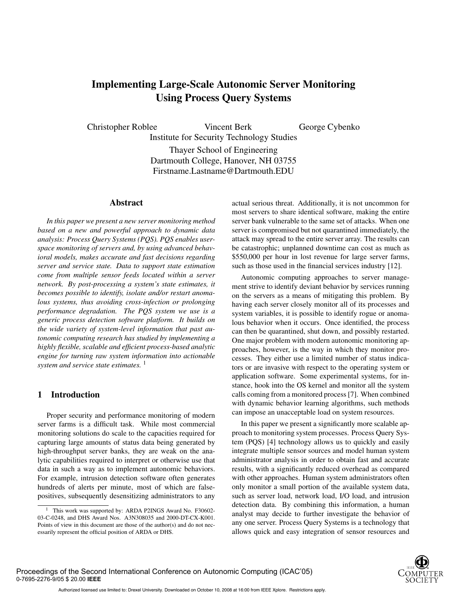# **Implementing Large-Scale Autonomic Server Monitoring Using Process Query Systems**

Christopher Roblee Vincent Berk George Cybenko Institute for Security Technology Studies Thayer School of Engineering Dartmouth College, Hanover, NH 03755 Firstname.Lastname@Dartmouth.EDU

# **Abstract**

*In this paper we present a new server monitoring method based on a new and powerful approach to dynamic data analysis: Process Query Systems (PQS). PQS enables userspace monitoring of servers and, by using advanced behavioral models, makes accurate and fast decisions regarding server and service state. Data to support state estimation come from multiple sensor feeds located within a server network. By post-processing a system's state estimates, it becomes possible to identify, isolate and/or restart anomalous systems, thus avoiding cross-infection or prolonging performance degradation. The PQS system we use is a generic process detection software platform. It builds on the wide variety of system-level information that past autonomic computing research has studied by implementing a highly flexible, scalable and efficient process-based analytic engine for turning raw system information into actionable system and service state estimates.*<sup>1</sup>

# **1 Introduction**

Proper security and performance monitoring of modern server farms is a difficult task. While most commercial monitoring solutions do scale to the capacities required for capturing large amounts of status data being generated by high-throughput server banks, they are weak on the analytic capabilities required to interpret or otherwise use that data in such a way as to implement autonomic behaviors. For example, intrusion detection software often generates hundreds of alerts per minute, most of which are falsepositives, subsequently desensitizing administrators to any actual serious threat. Additionally, it is not uncommon for most servers to share identical software, making the entire server bank vulnerable to the same set of attacks. When one server is compromised but not quarantined immediately, the attack may spread to the entire server array. The results can be catastrophic; unplanned downtime can cost as much as \$550,000 per hour in lost revenue for large server farms, such as those used in the financial services industry [12].

Autonomic computing approaches to server management strive to identify deviant behavior by services running on the servers as a means of mitigating this problem. By having each server closely monitor all of its processes and system variables, it is possible to identify rogue or anomalous behavior when it occurs. Once identified, the process can then be quarantined, shut down, and possibly restarted. One major problem with modern autonomic monitoring approaches, however, is the way in which they monitor processes. They either use a limited number of status indicators or are invasive with respect to the operating system or application software. Some experimental systems, for instance, hook into the OS kernel and monitor all the system calls coming from a monitored process [7]. When combined with dynamic behavior learning algorithms, such methods can impose an unacceptable load on system resources.

In this paper we present a significantly more scalable approach to monitoring system processes. Process Query System (PQS) [4] technology allows us to quickly and easily integrate multiple sensor sources and model human system administrator analysis in order to obtain fast and accurate results, with a significantly reduced overhead as compared with other approaches. Human system administrators often only monitor a small portion of the available system data, such as server load, network load, I/O load, and intrusion detection data. By combining this information, a human analyst may decide to further investigate the behavior of any one server. Process Query Systems is a technology that allows quick and easy integration of sensor resources and

<sup>&</sup>lt;sup>1</sup> This work was supported by: ARDA P2INGS Award No. F30602-03-C-0248, and DHS Award Nos. A3N308035 and 2000-DT-CX-K001. Points of view in this document are those of the author(s) and do not necessarily represent the official position of ARDA or DHS.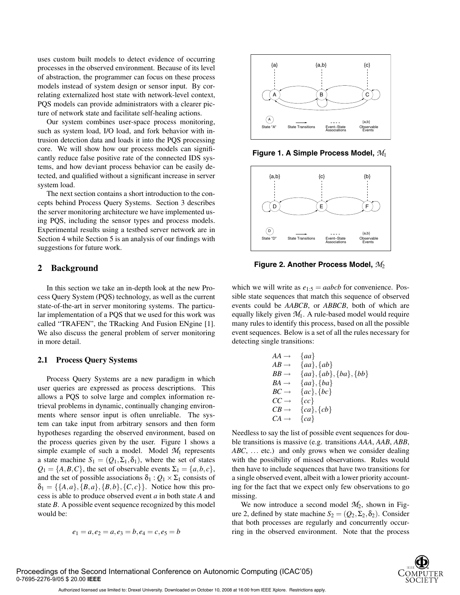uses custom built models to detect evidence of occurring processes in the observed environment. Because of its level of abstraction, the programmer can focus on these process models instead of system design or sensor input. By correlating externalized host state with network-level context, PQS models can provide administrators with a clearer picture of network state and facilitate self-healing actions.

Our system combines user-space process monitoring, such as system load, I/O load, and fork behavior with intrusion detection data and loads it into the PQS processing core. We will show how our process models can significantly reduce false positive rate of the connected IDS systems, and how deviant process behavior can be easily detected, and qualified without a significant increase in server system load.

The next section contains a short introduction to the concepts behind Process Query Systems. Section 3 describes the server monitoring architecture we have implemented using PQS, including the sensor types and process models. Experimental results using a testbed server network are in Section 4 while Section 5 is an analysis of our findings with suggestions for future work.

# **2 Background**

In this section we take an in-depth look at the new Process Query System (PQS) technology, as well as the current state-of-the-art in server monitoring systems. The particular implementation of a PQS that we used for this work was called "TRAFEN", the TRacking And Fusion ENgine [1]. We also discuss the general problem of server monitoring in more detail.

#### **2.1 Process Query Systems**

Process Query Systems are a new paradigm in which user queries are expressed as process descriptions. This allows a PQS to solve large and complex information retrieval problems in dynamic, continually changing environments where sensor input is often unreliable. The system can take input from arbitrary sensors and then form hypotheses regarding the observed environment, based on the process queries given by the user. Figure 1 shows a simple example of such a model. Model  $\mathcal{M}_1$  represents a state machine  $S_1 = (Q_1, \Sigma_1, \delta_1)$ , where the set of states  $Q_1 = \{A, B, C\}$ , the set of observable events  $\Sigma_1 = \{a, b, c\}$ , and the set of possible associations  $\delta_1$  :  $Q_1 \times \Sigma_1$  consists of  $\delta_1 = \{\{A,a\}, \{B,a\}, \{B,b\}, \{C,c\}\}\$ . Notice how this process is able to produce observed event *a* in both state *A* and state *B*. A possible event sequence recognized by this model would be:





**Figure 1. A Simple Process Model,** *M*<sup>1</sup>



**Figure 2. Another Process Model,** *M*<sup>2</sup>

which we will write as  $e_{1:5} = aabcb$  for convenience. Possible state sequences that match this sequence of observed events could be *AABCB*, or *ABBCB*, both of which are equally likely given  $M_1$ . A rule-based model would require many rules to identify this process, based on all the possible event sequences. Below is a set of all the rules necessary for detecting single transitions:

$$
AA \rightarrow \{aa\}
$$
  
\n
$$
AB \rightarrow \{aa\}, \{ab\}
$$
  
\n
$$
BB \rightarrow \{aa\}, \{ab\}, \{ba\}, \{bb\}
$$
  
\n
$$
BA \rightarrow \{aa\}, \{ba\}
$$
  
\n
$$
BC \rightarrow \{ac\}, \{bc\}
$$
  
\n
$$
CC \rightarrow \{cc\}
$$
  
\n
$$
CB \rightarrow \{ca\}, \{cb\}
$$
  
\n
$$
CA \rightarrow \{ca\}
$$

Needless to say the list of possible event sequences for double transitions is massive (e.g. transitions *AAA*, *AAB*, *ABB*, *ABC*, ... etc.) and only grows when we consider dealing with the possibility of missed observations. Rules would then have to include sequences that have two transitions for a single observed event, albeit with a lower priority accounting for the fact that we expect only few observations to go missing.

We now introduce a second model  $M_2$ , shown in Figure 2, defined by state machine  $S_2 = (Q_2, \Sigma_2, \delta_2)$ . Consider that both processes are regularly and concurrently occurring in the observed environment. Note that the process

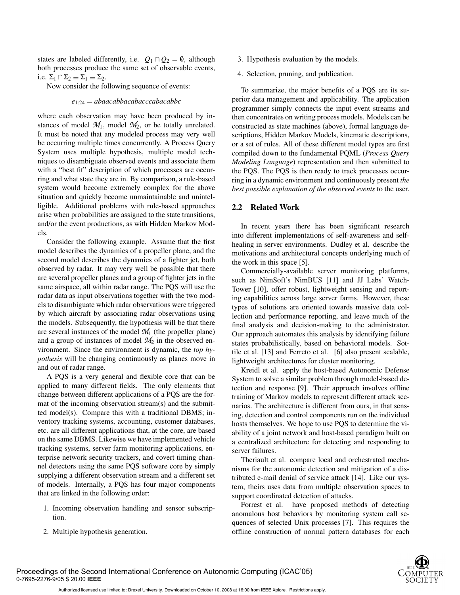states are labeled differently, i.e.  $Q_1 \cap Q_2 = \emptyset$ , although both processes produce the same set of observable events, i.e.  $\Sigma_1 \cap \Sigma_2 \equiv \Sigma_1 \equiv \Sigma_2$ .

Now consider the following sequence of events:

*e*1:24 = *abaacabbacabacccabacabbc*

where each observation may have been produced by instances of model  $M_1$ , model  $M_2$ , or be totally unrelated. It must be noted that any modeled process may very well be occurring multiple times concurrently. A Process Query System uses multiple hypothesis, multiple model techniques to disambiguate observed events and associate them with a "best fit" description of which processes are occurring and what state they are in. By comparison, a rule-based system would become extremely complex for the above situation and quickly become unmaintainable and unintelligible. Additional problems with rule-based approaches arise when probabilities are assigned to the state transitions, and/or the event productions, as with Hidden Markov Models.

Consider the following example. Assume that the first model describes the dynamics of a propeller plane, and the second model describes the dynamics of a fighter jet, both observed by radar. It may very well be possible that there are several propeller planes and a group of fighter jets in the same airspace, all within radar range. The PQS will use the radar data as input observations together with the two models to disambiguate which radar observations were triggered by which aircraft by associating radar observations using the models. Subsequently, the hypothesis will be that there are several instances of the model  $\mathcal{M}_1$  (the propeller plane) and a group of instances of model  $M_2$  in the observed environment. Since the environment is dynamic, the *top hypothesis* will be changing continuously as planes move in and out of radar range.

A PQS is a very general and flexible core that can be applied to many different fields. The only elements that change between different applications of a PQS are the format of the incoming observation stream(s) and the submitted model(s). Compare this with a traditional DBMS; inventory tracking systems, accounting, customer databases, etc. are all different applications that, at the core, are based on the same DBMS. Likewise we have implemented vehicle tracking systems, server farm monitoring applications, enterprise network security trackers, and covert timing channel detectors using the same PQS software core by simply supplying a different observation stream and a different set of models. Internally, a PQS has four major components that are linked in the following order:

- 1. Incoming observation handling and sensor subscription.
- 2. Multiple hypothesis generation.
- 3. Hypothesis evaluation by the models.
- 4. Selection, pruning, and publication.

To summarize, the major benefits of a PQS are its superior data management and applicability. The application programmer simply connects the input event streams and then concentrates on writing process models. Models can be constructed as state machines (above), formal language descriptions, Hidden Markov Models, kinematic descriptions, or a set of rules. All of these different model types are first compiled down to the fundamental PQML (*Process Query Modeling Language*) representation and then submitted to the PQS. The PQS is then ready to track processes occurring in a dynamic environment and continuously present *the best possible explanation of the observed events* to the user.

#### **2.2 Related Work**

In recent years there has been significant research into different implementations of self-awareness and selfhealing in server environments. Dudley et al. describe the motivations and architectural concepts underlying much of the work in this space [5].

Commercially-available server monitoring platforms, such as NimSoft's NimBUS [11] and JJ Labs' Watch-Tower [10], offer robust, lightweight sensing and reporting capabilities across large server farms. However, these types of solutions are oriented towards massive data collection and performance reporting, and leave much of the final analysis and decision-making to the administrator. Our approach automates this analysis by identifying failure states probabilistically, based on behavioral models. Sottile et al. [13] and Ferreto et al. [6] also present scalable, lightweight architectures for cluster monitoring.

Kreidl et al. apply the host-based Autonomic Defense System to solve a similar problem through model-based detection and response [9]. Their approach involves offline training of Markov models to represent different attack scenarios. The architecture is different from ours, in that sensing, detection and control components run on the individual hosts themselves. We hope to use PQS to determine the viability of a joint network and host-based paradigm built on a centralized architecture for detecting and responding to server failures.

Theriault et al. compare local and orchestrated mechanisms for the autonomic detection and mitigation of a distributed e-mail denial of service attack [14]. Like our system, theirs uses data from multiple observation spaces to support coordinated detection of attacks.

Forrest et al. have proposed methods of detecting anomalous host behaviors by monitoring system call sequences of selected Unix processes [7]. This requires the offline construction of normal pattern databases for each

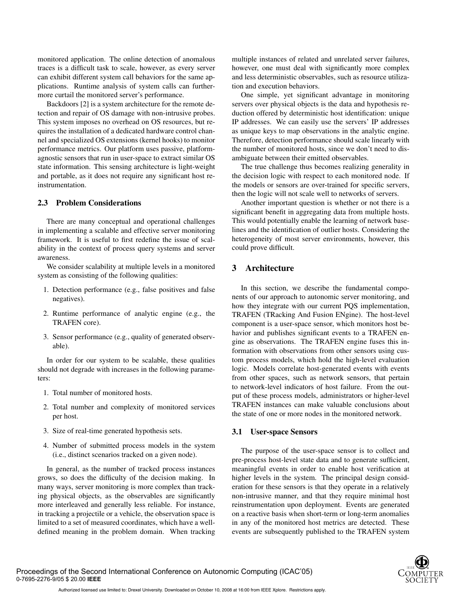monitored application. The online detection of anomalous traces is a difficult task to scale, however, as every server can exhibit different system call behaviors for the same applications. Runtime analysis of system calls can furthermore curtail the monitored server's performance.

Backdoors [2] is a system architecture for the remote detection and repair of OS damage with non-intrusive probes. This system imposes no overhead on OS resources, but requires the installation of a dedicated hardware control channel and specialized OS extensions (kernel hooks) to monitor performance metrics. Our platform uses passive, platformagnostic sensors that run in user-space to extract similar OS state information. This sensing architecture is light-weight and portable, as it does not require any significant host reinstrumentation.

#### **2.3 Problem Considerations**

There are many conceptual and operational challenges in implementing a scalable and effective server monitoring framework. It is useful to first redefine the issue of scalability in the context of process query systems and server awareness.

We consider scalability at multiple levels in a monitored system as consisting of the following qualities:

- 1. Detection performance (e.g., false positives and false negatives).
- 2. Runtime performance of analytic engine (e.g., the TRAFEN core).
- 3. Sensor performance (e.g., quality of generated observable).

In order for our system to be scalable, these qualities should not degrade with increases in the following parameters:

- 1. Total number of monitored hosts.
- 2. Total number and complexity of monitored services per host.
- 3. Size of real-time generated hypothesis sets.
- 4. Number of submitted process models in the system (i.e., distinct scenarios tracked on a given node).

In general, as the number of tracked process instances grows, so does the difficulty of the decision making. In many ways, server monitoring is more complex than tracking physical objects, as the observables are significantly more interleaved and generally less reliable. For instance, in tracking a projectile or a vehicle, the observation space is limited to a set of measured coordinates, which have a welldefined meaning in the problem domain. When tracking

multiple instances of related and unrelated server failures, however, one must deal with significantly more complex and less deterministic observables, such as resource utilization and execution behaviors.

One simple, yet significant advantage in monitoring servers over physical objects is the data and hypothesis reduction offered by deterministic host identification: unique IP addresses. We can easily use the servers' IP addresses as unique keys to map observations in the analytic engine. Therefore, detection performance should scale linearly with the number of monitored hosts, since we don't need to disambiguate between their emitted observables.

The true challenge thus becomes realizing generality in the decision logic with respect to each monitored node. If the models or sensors are over-trained for specific servers, then the logic will not scale well to networks of servers.

Another important question is whether or not there is a significant benefit in aggregating data from multiple hosts. This would potentially enable the learning of network baselines and the identification of outlier hosts. Considering the heterogeneity of most server environments, however, this could prove difficult.

# **3 Architecture**

In this section, we describe the fundamental components of our approach to autonomic server monitoring, and how they integrate with our current PQS implementation, TRAFEN (TRacking And Fusion ENgine). The host-level component is a user-space sensor, which monitors host behavior and publishes significant events to a TRAFEN engine as observations. The TRAFEN engine fuses this information with observations from other sensors using custom process models, which hold the high-level evaluation logic. Models correlate host-generated events with events from other spaces, such as network sensors, that pertain to network-level indicators of host failure. From the output of these process models, administrators or higher-level TRAFEN instances can make valuable conclusions about the state of one or more nodes in the monitored network.

#### **3.1 User-space Sensors**

The purpose of the user-space sensor is to collect and pre-process host-level state data and to generate sufficient, meaningful events in order to enable host verification at higher levels in the system. The principal design consideration for these sensors is that they operate in a relatively non-intrusive manner, and that they require minimal host reinstrumentation upon deployment. Events are generated on a reactive basis when short-term or long-term anomalies in any of the monitored host metrics are detected. These events are subsequently published to the TRAFEN system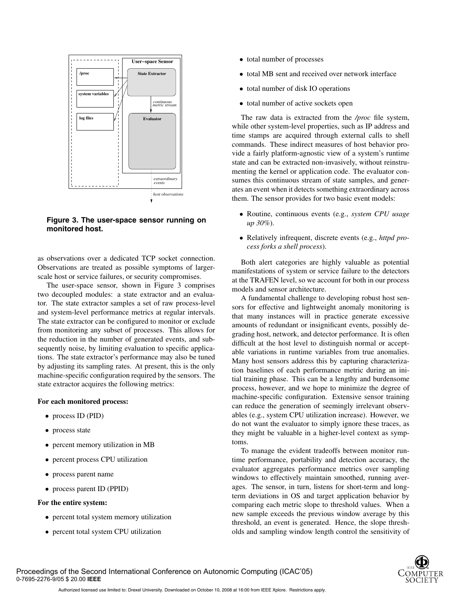

**Figure 3. The user-space sensor running on monitored host.**

as observations over a dedicated TCP socket connection. Observations are treated as possible symptoms of largerscale host or service failures, or security compromises.

The user-space sensor, shown in Figure 3 comprises two decoupled modules: a state extractor and an evaluator. The state extractor samples a set of raw process-level and system-level performance metrics at regular intervals. The state extractor can be configured to monitor or exclude from monitoring any subset of processes. This allows for the reduction in the number of generated events, and subsequently noise, by limiting evaluation to specific applications. The state extractor's performance may also be tuned by adjusting its sampling rates. At present, this is the only machine-specific configuration required by the sensors. The state extractor acquires the following metrics:

#### **For each monitored process:**

- process ID (PID)
- process state
- percent memory utilization in MB
- percent process CPU utilization
- process parent name
- process parent ID (PPID)

#### **For the entire system:**

- percent total system memory utilization
- percent total system CPU utilization
- total number of processes
- total MB sent and received over network interface
- total number of disk IO operations
- total number of active sockets open

The raw data is extracted from the */proc* file system, while other system-level properties, such as IP address and time stamps are acquired through external calls to shell commands. These indirect measures of host behavior provide a fairly platform-agnostic view of a system's runtime state and can be extracted non-invasively, without reinstrumenting the kernel or application code. The evaluator consumes this continuous stream of state samples, and generates an event when it detects something extraordinary across them. The sensor provides for two basic event models:

- Routine, continuous events (e.g., *system CPU usage up 30%*).
- Relatively infrequent, discrete events (e.g., *httpd process forks a shell process*).

Both alert categories are highly valuable as potential manifestations of system or service failure to the detectors at the TRAFEN level, so we account for both in our process models and sensor architecture.

A fundamental challenge to developing robust host sensors for effective and lightweight anomaly monitoring is that many instances will in practice generate excessive amounts of redundant or insignificant events, possibly degrading host, network, and detector performance. It is often difficult at the host level to distinguish normal or acceptable variations in runtime variables from true anomalies. Many host sensors address this by capturing characterization baselines of each performance metric during an initial training phase. This can be a lengthy and burdensome process, however, and we hope to minimize the degree of machine-specific configuration. Extensive sensor training can reduce the generation of seemingly irrelevant observables (e.g., system CPU utilization increase). However, we do not want the evaluator to simply ignore these traces, as they might be valuable in a higher-level context as symptoms.

To manage the evident tradeoffs between monitor runtime performance, portability and detection accuracy, the evaluator aggregates performance metrics over sampling windows to effectively maintain smoothed, running averages. The sensor, in turn, listens for short-term and longterm deviations in OS and target application behavior by comparing each metric slope to threshold values. When a new sample exceeds the previous window average by this threshold, an event is generated. Hence, the slope thresholds and sampling window length control the sensitivity of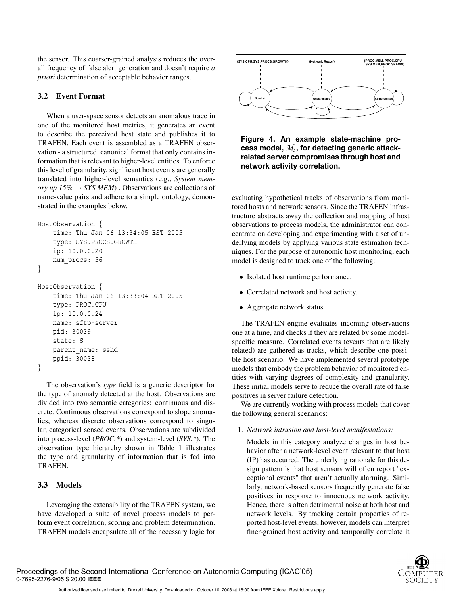the sensor. This coarser-grained analysis reduces the overall frequency of false alert generation and doesn't require *a priori* determination of acceptable behavior ranges.

# **3.2 Event Format**

When a user-space sensor detects an anomalous trace in one of the monitored host metrics, it generates an event to describe the perceived host state and publishes it to TRAFEN. Each event is assembled as a TRAFEN observation - a structured, canonical format that only contains information that is relevant to higher-level entities. To enforce this level of granularity, significant host events are generally translated into higher-level semantics (e.g., *System memory up*  $15\% \rightarrow SYS.MEM$ ). Observations are collections of name-value pairs and adhere to a simple ontology, demonstrated in the examples below.

```
HostObservation {
    time: Thu Jan 06 13:34:05 EST 2005
    type: SYS.PROCS.GROWTH
    ip: 10.0.0.20
    num_procs: 56
}
HostObservation {
    time: Thu Jan 06 13:33:04 EST 2005
    type: PROC.CPU
    ip: 10.0.0.24
    name: sftp-server
    pid: 30039
    state: S
    parent_name: sshd
    ppid: 30038
}
```
The observation's *type* field is a generic descriptor for the type of anomaly detected at the host. Observations are divided into two semantic categories: continuous and discrete. Continuous observations correspond to slope anomalies, whereas discrete observations correspond to singular, categorical sensed events. Observations are subdivided into process-level (*PROC.\**) and system-level (*SYS.\**). The observation type hierarchy shown in Table 1 illustrates the type and granularity of information that is fed into TRAFEN.

#### **3.3 Models**

Leveraging the extensibility of the TRAFEN system, we have developed a suite of novel process models to perform event correlation, scoring and problem determination. TRAFEN models encapsulate all of the necessary logic for



**Figure 4. An example state-machine process model,** *M*3**, for detecting generic attackrelated server compromises through host and network activity correlation.**

evaluating hypothetical tracks of observations from monitored hosts and network sensors. Since the TRAFEN infrastructure abstracts away the collection and mapping of host observations to process models, the administrator can concentrate on developing and experimenting with a set of underlying models by applying various state estimation techniques. For the purpose of autonomic host monitoring, each model is designed to track one of the following:

- Isolated host runtime performance.
- Correlated network and host activity.
- Aggregate network status.

The TRAFEN engine evaluates incoming observations one at a time, and checks if they are related by some modelspecific measure. Correlated events (events that are likely related) are gathered as tracks, which describe one possible host scenario. We have implemented several prototype models that embody the problem behavior of monitored entities with varying degrees of complexity and granularity. These initial models serve to reduce the overall rate of false positives in server failure detection.

We are currently working with process models that cover the following general scenarios:

#### 1. *Network intrusion and host-level manifestations:*

Models in this category analyze changes in host behavior after a network-level event relevant to that host (IP) has occurred. The underlying rationale for this design pattern is that host sensors will often report "exceptional events" that aren't actually alarming. Similarly, network-based sensors frequently generate false positives in response to innocuous network activity. Hence, there is often detrimental noise at both host and network levels. By tracking certain properties of reported host-level events, however, models can interpret finer-grained host activity and temporally correlate it

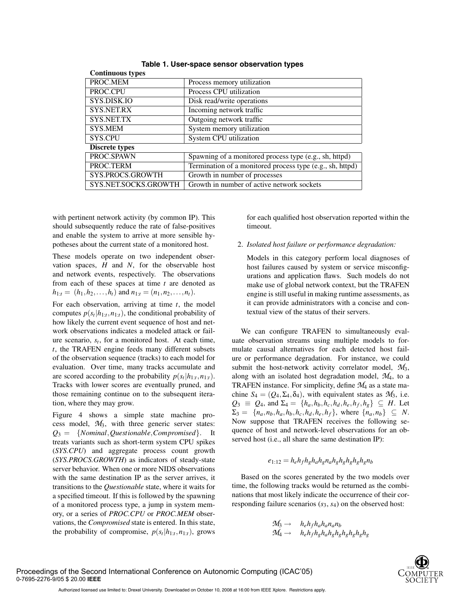| Communities types     |                                                           |
|-----------------------|-----------------------------------------------------------|
| PROC.MEM              | Process memory utilization                                |
| PROC.CPU              | Process CPU utilization                                   |
| SYS.DISK.IO           | Disk read/write operations                                |
| SYS.NET.RX            | Incoming network traffic                                  |
| SYS.NET.TX            | Outgoing network traffic                                  |
| <b>SYS.MEM</b>        | System memory utilization                                 |
| <b>SYS.CPU</b>        | System CPU utilization                                    |
| <b>Discrete types</b> |                                                           |
| PROC.SPAWN            | Spawning of a monitored process type (e.g., sh, httpd)    |
| PROC.TERM             | Termination of a monitored process type (e.g., sh, httpd) |
| SYS.PROCS.GROWTH      | Growth in number of processes                             |
| SYS.NET.SOCKS.GROWTH  | Growth in number of active network sockets                |
|                       |                                                           |

**Table 1. User-space sensor observation types Continuous types**

with pertinent network activity (by common IP). This should subsequently reduce the rate of false-positives and enable the system to arrive at more sensible hypotheses about the current state of a monitored host.

These models operate on two independent observation spaces, *H* and *N*, for the observable host and network events, respectively. The observations from each of these spaces at time *t* are denoted as  $h_{1:t} = (h_1, h_2, \ldots, h_t)$  and  $n_{1:t} = (n_1, n_2, \ldots, n_t)$ .

For each observation, arriving at time *t*, the model computes  $p(s_t|h_{1:t}, n_{1:t})$ , the conditional probability of how likely the current event sequence of host and network observations indicates a modeled attack or failure scenario,  $s_t$ , for a monitored host. At each time, *t*, the TRAFEN engine feeds many different subsets of the observation sequence (tracks) to each model for evaluation. Over time, many tracks accumulate and are scored according to the probability  $p(s_t|h_{1:t}, n_{1:t})$ . Tracks with lower scores are eventually pruned, and those remaining continue on to the subsequent iteration, where they may grow.

Figure 4 shows a simple state machine process model, *M*3, with three generic server states: *Q*<sup>3</sup> = {*Nominal*,*Questionable*,*Compromised*}. It treats variants such as short-term system CPU spikes (*SYS.CPU*) and aggregate process count growth (*SYS.PROCS.GROWTH*) as indicators of steady-state server behavior. When one or more NIDS observations with the same destination IP as the server arrives, it transitions to the *Questionable* state, where it waits for a specified timeout. If this is followed by the spawning of a monitored process type, a jump in system memory, or a series of *PROC.CPU* or *PROC.MEM* observations, the *Compromised* state is entered. In this state, the probability of compromise,  $p(s_t|h_{1:t}, n_{1:t})$ , grows

for each qualified host observation reported within the timeout.

#### 2. *Isolated host failure or performance degradation:*

Models in this category perform local diagnoses of host failures caused by system or service misconfigurations and application flaws. Such models do not make use of global network context, but the TRAFEN engine is still useful in making runtime assessments, as it can provide administrators with a concise and contextual view of the status of their servers.

We can configure TRAFEN to simultaneously evaluate observation streams using multiple models to formulate causal alternatives for each detected host failure or performance degradation. For instance, we could submit the host-network activity correlator model, *M*3, along with an isolated host degradation model, *M*4, to a TRAFEN instance. For simplicity, define *M*<sup>4</sup> as a state machine  $S_4 = (Q_4, \Sigma_4, \delta_4)$ , with equivalent states as  $M_3$ , i.e.  $Q_3 \equiv Q_4$ , and  $\Sigma_4 = \{h_a, h_b, h_c, h_d, h_e, h_f, h_g\} \subseteq H$ . Let  $\Sigma_3 = \{n_a, n_b, h_a, h_b, h_c, h_d, h_e, h_f\}$ , where  $\{n_a, n_b\} \subseteq N$ . Now suppose that TRAFEN receives the following sequence of host and network-level observations for an observed host (i.e., all share the same destination IP):

$$
e_{1:12} = h_e h_f h_g h_a h_g n_a h_g h_g h_g h_g h_g n_b
$$

Based on the scores generated by the two models over time, the following tracks would be returned as the combinations that most likely indicate the occurrence of their corresponding failure scenarios (*s*3, *s*4) on the observed host:

$$
\mathcal{M}_3 \rightarrow \quad h_e h_f h_a h_a n_a n_b \n\mathcal{M}_4 \rightarrow \quad h_e h_f h_g h_a h_g h_g h_g h_g h_g h_g
$$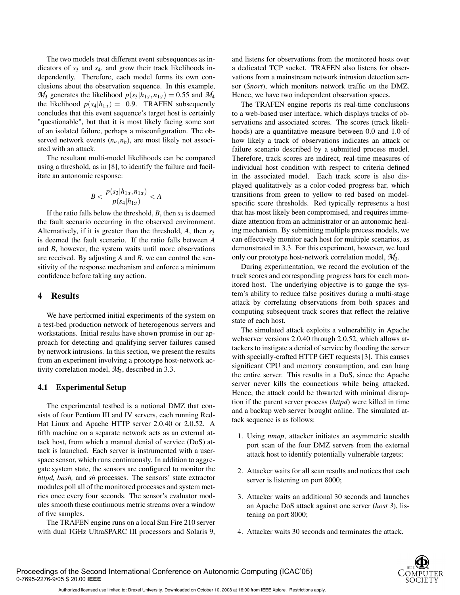The two models treat different event subsequences as indicators of  $s_3$  and  $s_4$ , and grow their track likelihoods independently. Therefore, each model forms its own conclusions about the observation sequence. In this example,  $M_3$  generates the likelihood  $p(s_3|h_{1:t}, n_{1:t}) = 0.55$  and  $M_4$ the likelihood  $p(s_4|h_{1:t}) = 0.9$ . TRAFEN subsequently concludes that this event sequence's target host is certainly "questionable", but that it is most likely facing some sort of an isolated failure, perhaps a misconfiguration. The observed network events  $(n_a, n_b)$ , are most likely not associated with an attack.

The resultant multi-model likelihoods can be compared using a threshold, as in [8], to identify the failure and facilitate an autonomic response:

$$
B < \frac{p(s_3 | h_{1:t}, n_{1:t})}{p(s_4 | h_{1:t})} < A
$$

If the ratio falls below the threshold, *B*, then *s*<sup>4</sup> is deemed the fault scenario occurring in the observed environment. Alternatively, if it is greater than the threshold, *A*, then *s*<sup>3</sup> is deemed the fault scenario. If the ratio falls between *A* and *B*, however, the system waits until more observations are received. By adjusting *A* and *B*, we can control the sensitivity of the response mechanism and enforce a minimum confidence before taking any action.

# **4 Results**

We have performed initial experiments of the system on a test-bed production network of heterogenous servers and workstations. Initial results have shown promise in our approach for detecting and qualifying server failures caused by network intrusions. In this section, we present the results from an experiment involving a prototype host-network activity correlation model, *M*3, described in 3.3.

#### **4.1 Experimental Setup**

The experimental testbed is a notional DMZ that consists of four Pentium III and IV servers, each running Red-Hat Linux and Apache HTTP server 2.0.40 or 2.0.52. A fifth machine on a separate network acts as an external attack host, from which a manual denial of service (DoS) attack is launched. Each server is instrumented with a userspace sensor, which runs continuously. In addition to aggregate system state, the sensors are configured to monitor the *httpd, bash,* and *sh* processes. The sensors' state extractor modules poll all of the monitored processes and system metrics once every four seconds. The sensor's evaluator modules smooth these continuous metric streams over a window of five samples.

The TRAFEN engine runs on a local Sun Fire 210 server with dual 1GHz UltraSPARC III processors and Solaris 9, and listens for observations from the monitored hosts over a dedicated TCP socket. TRAFEN also listens for observations from a mainstream network intrusion detection sensor (*Snort*), which monitors network traffic on the DMZ. Hence, we have two independent observation spaces.

The TRAFEN engine reports its real-time conclusions to a web-based user interface, which displays tracks of observations and associated scores. The scores (track likelihoods) are a quantitative measure between 0.0 and 1.0 of how likely a track of observations indicates an attack or failure scenario described by a submitted process model. Therefore, track scores are indirect, real-time measures of individual host condition with respect to criteria defined in the associated model. Each track score is also displayed qualitatively as a color-coded progress bar, which transitions from green to yellow to red based on modelspecific score thresholds. Red typically represents a host that has most likely been compromised, and requires immediate attention from an administrator or an autonomic healing mechanism. By submitting multiple process models, we can effectively monitor each host for multiple scenarios, as demonstrated in 3.3. For this experiment, however, we load only our prototype host-network correlation model, *M*3.

During experimentation, we record the evolution of the track scores and corresponding progress bars for each monitored host. The underlying objective is to gauge the system's ability to reduce false positives during a multi-stage attack by correlating observations from both spaces and computing subsequent track scores that reflect the relative state of each host.

The simulated attack exploits a vulnerability in Apache webserver versions 2.0.40 through 2.0.52, which allows attackers to instigate a denial of service by flooding the server with specially-crafted HTTP GET requests [3]. This causes significant CPU and memory consumption, and can hang the entire server. This results in a DoS, since the Apache server never kills the connections while being attacked. Hence, the attack could be thwarted with minimal disruption if the parent server process (*httpd*) were killed in time and a backup web server brought online. The simulated attack sequence is as follows:

- 1. Using *nmap*, attacker initiates an asymmetric stealth port scan of the four DMZ servers from the external attack host to identify potentially vulnerable targets;
- 2. Attacker waits for all scan results and notices that each server is listening on port 8000;
- 3. Attacker waits an additional 30 seconds and launches an Apache DoS attack against one server (*host 3*), listening on port 8000;
- 4. Attacker waits 30 seconds and terminates the attack.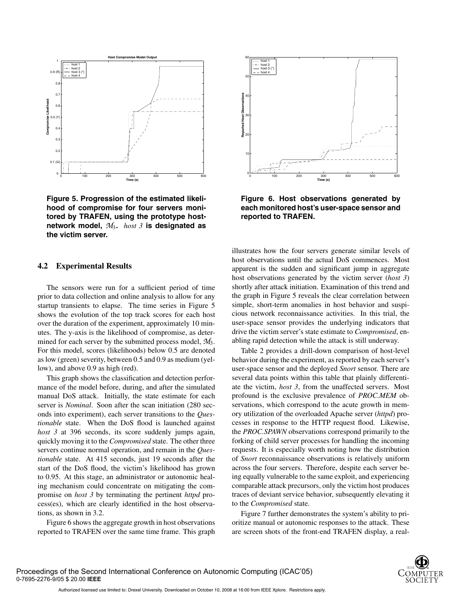

**Figure 5. Progression of the estimated likelihood of compromise for four servers monitored by TRAFEN, using the prototype hostnetwork model,** *M*3**.** *host 3* **is designated as the victim server.**

#### **4.2 Experimental Results**

The sensors were run for a sufficient period of time prior to data collection and online analysis to allow for any startup transients to elapse. The time series in Figure 5 shows the evolution of the top track scores for each host over the duration of the experiment, approximately 10 minutes. The y-axis is the likelihood of compromise, as determined for each server by the submitted process model, *M*3. For this model, scores (likelihoods) below 0.5 are denoted as low (green) severity, between 0.5 and 0.9 as medium (yellow), and above 0.9 as high (red).

This graph shows the classification and detection performance of the model before, during, and after the simulated manual DoS attack. Initially, the state estimate for each server is *Nominal*. Soon after the scan initiation (280 seconds into experiment), each server transitions to the *Questionable* state. When the DoS flood is launched against *host 3* at 396 seconds, its score suddenly jumps again, quickly moving it to the *Compromised* state. The other three servers continue normal operation, and remain in the *Questionable* state. At 415 seconds, just 19 seconds after the start of the DoS flood, the victim's likelihood has grown to 0.95. At this stage, an administrator or autonomic healing mechanism could concentrate on mitigating the compromise on *host 3* by terminating the pertinent *httpd* process(es), which are clearly identified in the host observations, as shown in 3.2.

Figure 6 shows the aggregate growth in host observations reported to TRAFEN over the same time frame. This graph



**Figure 6. Host observations generated by each monitored host's user-space sensor and reported to TRAFEN.**

illustrates how the four servers generate similar levels of host observations until the actual DoS commences. Most apparent is the sudden and significant jump in aggregate host observations generated by the victim server (*host 3*) shortly after attack initiation. Examination of this trend and the graph in Figure 5 reveals the clear correlation between simple, short-term anomalies in host behavior and suspicious network reconnaissance activities. In this trial, the user-space sensor provides the underlying indicators that drive the victim server's state estimate to *Compromised*, enabling rapid detection while the attack is still underway.

Table 2 provides a drill-down comparison of host-level behavior during the experiment, as reported by each server's user-space sensor and the deployed *Snort* sensor. There are several data points within this table that plainly differentiate the victim, *host 3*, from the unaffected servers. Most profound is the exclusive prevalence of *PROC.MEM* observations, which correspond to the acute growth in memory utilization of the overloaded Apache server (*httpd*) processes in response to the HTTP request flood. Likewise, the *PROC.SPAWN* observations correspond primarily to the forking of child server processes for handling the incoming requests. It is especially worth noting how the distribution of *Snort* reconnaissance observations is relatively uniform across the four servers. Therefore, despite each server being equally vulnerable to the same exploit, and experiencing comparable attack precursors, only the victim host produces traces of deviant service behavior, subsequently elevating it to the *Compromised* state.

Figure 7 further demonstrates the system's ability to prioritize manual or autonomic responses to the attack. These are screen shots of the front-end TRAFEN display, a real-

Authorized licensed use limited to: Drexel University. Downloaded on October 10, 2008 at 16:00 from IEEE Xplore. Restrictions apply.

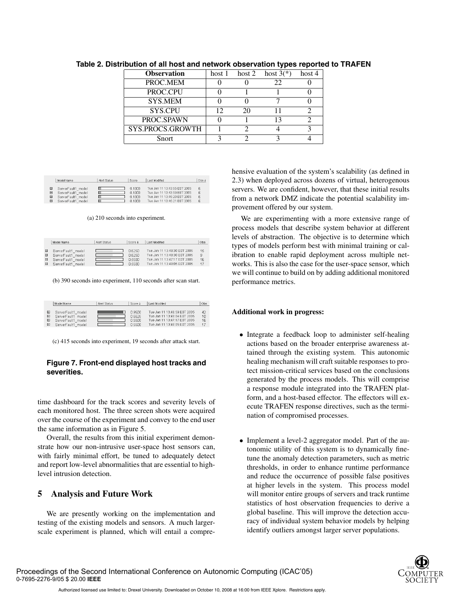| <b>Observation</b> | host 1 |    | host 2 host $3(*)$ | host 4 |
|--------------------|--------|----|--------------------|--------|
| PROC.MEM           |        |    | 22                 |        |
| PROC.CPU           |        |    |                    |        |
| <b>SYS.MEM</b>     |        |    |                    |        |
| SYS.CPU            | 12     | 20 |                    |        |
| PROC.SPAWN         |        |    | 13                 |        |
| SYS.PROCS.GROWTH   |        |    |                    |        |
| Snort              |        |    |                    |        |

**Table 2. Distribution of all host and network observation types reported to TRAFEN**

|   | Model Name         | Alert Status | Score  | Last Modified                | $1$ Obs $1$ |
|---|--------------------|--------------|--------|------------------------------|-------------|
| 国 | ServerFault1 model |              | 0.1000 | Tue Jan 11 13:43:55 EST 2005 | $\sqrt{2}$  |
| 田 | ServerFault1 model |              | 0.1000 | Tue Jan 11 13:43:59 EST 2005 | Б           |
| 田 | ServerFault1 model |              | 0.1000 | Tue Jan 11 13:45:20 EST 2005 | Б           |
| 囝 | ServerFault1 model |              | 0.1000 | Tue Jan 11 13:45:21 EST 2005 | Б           |

(a) 210 seconds into experiment.

|   | Model Name         | Alert Status | Score $\downarrow$ | Last Modified                | Obs |
|---|--------------------|--------------|--------------------|------------------------------|-----|
| 田 | ServerFault1 model |              | 0.6250             | Tue Jan 11 13:48:30 EST 2005 | 15  |
| 田 | ServerFault1 model |              | 0.6250             | Tue Jan 11 13:48:30 EST 2005 | 9   |
| 田 | ServerFault1 model |              | 0.5500             | Tue Jan 11 13:47:17 EST 2005 | 16  |
| 田 | ServerFault1 model |              | 0.5500             | Tue Jan 11 13:48:05 EST 2005 | 17  |

(b) 390 seconds into experiment, 110 seconds after scan start.

|             | Model Name                                                        | Alert Status | $Score +$                  | Last Modified                                                                                | Obs            |
|-------------|-------------------------------------------------------------------|--------------|----------------------------|----------------------------------------------------------------------------------------------|----------------|
| 囲<br>田<br>囲 | ServerFault1 model<br>ServerFault1<br>model<br>ServerFault1 model |              | 0.9500<br>0.6625<br>0.5500 | Tue Jan 11 13:48:59 EST 2005<br>Tue Jan 11 13:49:04 EST 2005<br>Tue Jan 11 13:47:17 EST 2005 | 42<br>10<br>16 |
| 田           | ServerFault1<br>model                                             |              | 0.5500                     | Tue Jan 11 13:48:05 EST 2005                                                                 | 17             |

(c) 415 seconds into experiment, 19 seconds after attack start.

# **Figure 7. Front-end displayed host tracks and severities.**

time dashboard for the track scores and severity levels of each monitored host. The three screen shots were acquired over the course of the experiment and convey to the end user the same information as in Figure 5.

Overall, the results from this initial experiment demonstrate how our non-intrusive user-space host sensors can, with fairly minimal effort, be tuned to adequately detect and report low-level abnormalities that are essential to highlevel intrusion detection.

# **5 Analysis and Future Work**

We are presently working on the implementation and testing of the existing models and sensors. A much largerscale experiment is planned, which will entail a comprehensive evaluation of the system's scalability (as defined in 2.3) when deployed across dozens of virtual, heterogenous servers. We are confident, however, that these initial results from a network DMZ indicate the potential scalability improvement offered by our system.

We are experimenting with a more extensive range of process models that describe system behavior at different levels of abstraction. The objective is to determine which types of models perform best with minimal training or calibration to enable rapid deployment across multiple networks. This is also the case for the user-space sensor, which we will continue to build on by adding additional monitored performance metrics.

#### **Additional work in progress:**

- Integrate a feedback loop to administer self-healing actions based on the broader enterprise awareness attained through the existing system. This autonomic healing mechanism will craft suitable responses to protect mission-critical services based on the conclusions generated by the process models. This will comprise a response module integrated into the TRAFEN platform, and a host-based effector. The effectors will execute TRAFEN response directives, such as the termination of compromised processes.
- Implement a level-2 aggregator model. Part of the autonomic utility of this system is to dynamically finetune the anomaly detection parameters, such as metric thresholds, in order to enhance runtime performance and reduce the occurrence of possible false positives at higher levels in the system. This process model will monitor entire groups of servers and track runtime statistics of host observation frequencies to derive a global baseline. This will improve the detection accuracy of individual system behavior models by helping identify outliers amongst larger server populations.